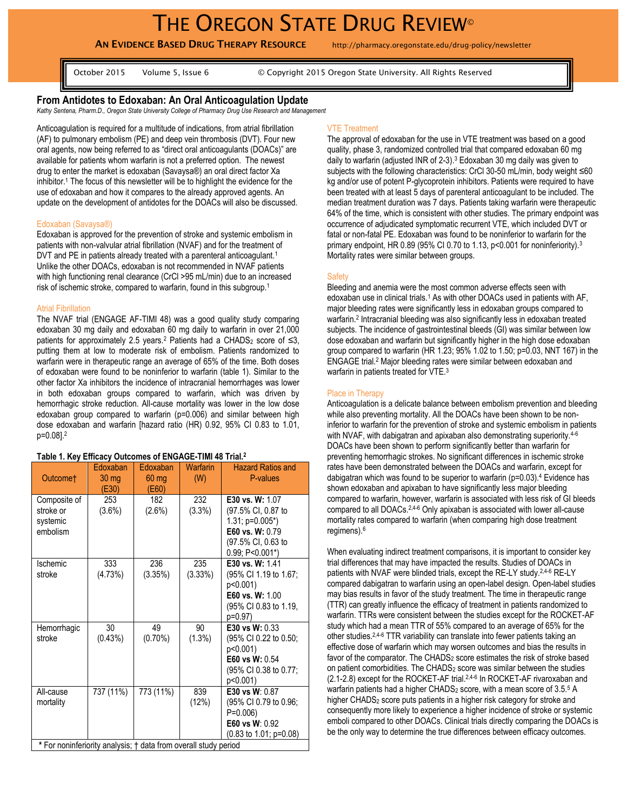# THE OREGON STATE DRUG REVIEW®

**AN EVIDENCE BASED DRUG THERAPY RESOURCE** http://pharmacy.oregonstate.edu/drug-policy/newsletter

October 2015 Volume 5, Issue 6 © Copyright 2015 Oregon State University. All Rights Reserved

# **From Antidotes to Edoxaban: An Oral Anticoagulation Update**

*Kathy Sentena, Pharm.D., Oregon State University College of Pharmacy Drug Use Research and Management*

Anticoagulation is required for a multitude of indications, from atrial fibrillation (AF) to pulmonary embolism (PE) and deep vein thrombosis (DVT). Four new oral agents, now being referred to as "direct oral anticoagulants (DOACs)" are available for patients whom warfarin is not a preferred option. The newest drug to enter the market is edoxaban (Savaysa®) an oral direct factor Xa inhibitor.<sup>1</sup> The focus of this newsletter will be to highlight the evidence for the use of edoxaban and how it compares to the already approved agents. An update on the development of antidotes for the DOACs will also be discussed.

#### Edoxaban (Savaysa®)

Edoxaban is approved for the prevention of stroke and systemic embolism in patients with non-valvular atrial fibrillation (NVAF) and for the treatment of DVT and PE in patients already treated with a parenteral anticoagulant.<sup>1</sup> Unlike the other DOACs, edoxaban is not recommended in NVAF patients with high functioning renal clearance (CrCl >95 mL/min) due to an increased risk of ischemic stroke, compared to warfarin, found in this subgroup.<sup>1</sup>

#### Atrial Fibrillation

The NVAF trial (ENGAGE AF-TIMI 48) was a good quality study comparing edoxaban 30 mg daily and edoxaban 60 mg daily to warfarin in over 21,000 patients for approximately 2.5 years.<sup>2</sup> Patients had a CHADS<sub>2</sub> score of  $\leq$ 3, putting them at low to moderate risk of embolism. Patients randomized to warfarin were in therapeutic range an average of 65% of the time. Both doses of edoxaban were found to be noninferior to warfarin (table 1). Similar to the other factor Xa inhibitors the incidence of intracranial hemorrhages was lower in both edoxaban groups compared to warfarin, which was driven by hemorrhagic stroke reduction. All-cause mortality was lower in the low dose edoxaban group compared to warfarin (p=0.006) and similar between high dose edoxaban and warfarin [hazard ratio (HR) 0.92, 95% CI 0.83 to 1.01, p=0.08]. 2

#### **Table 1. Key Efficacy Outcomes of ENGAGE-TIMI 48 Trial. 2**

| Outcome†                                                                                  | Edoxaban<br>$30 \, \text{mg}$<br>(E30) | Edoxaban<br>$60$ mg<br>(E60) | Warfarin<br>(W) | <b>Hazard Ratios and</b><br>P-values                                                                                        |
|-------------------------------------------------------------------------------------------|----------------------------------------|------------------------------|-----------------|-----------------------------------------------------------------------------------------------------------------------------|
| Composite of<br>stroke or<br>systemic<br>embolism                                         | 253<br>$(3.6\%)$                       | 182<br>$(2.6\%)$             | 232<br>(3.3%)   | E30 vs. W: 1.07<br>(97.5% CI, 0.87 to<br>$1.31$ ; $p=0.005$ *)<br>E60 vs. W: 0.79<br>(97.5% CI, 0.63 to<br>$0.99; P<0.001*$ |
| Ischemic<br>stroke                                                                        | 333<br>(4.73%)                         | 236<br>(3.35%)               | 235<br>(3.33%)  | E30 vs. W: 1.41<br>(95% CI 1.19 to 1.67;<br>p<0.001)<br>E60 vs. W: 1.00<br>(95% CI 0.83 to 1.19,<br>p=0.97)                 |
| Hemorrhagic<br>stroke                                                                     | 30<br>(0.43%)                          | 49<br>$(0.70\%)$             | 90<br>(1.3%)    | <b>E30 vs W: 0.33</b><br>(95% CI 0.22 to 0.50;<br>p<0.001)<br>E60 vs W: 0.54<br>(95% CI 0.38 to 0.77;<br>p<0.001)           |
| All-cause<br>mortality<br>* For noninferiority analysis; † data from overall study period | 737 (11%)                              | 773 (11%)                    | 839<br>(12%)    | E30 vs W: 0.87<br>(95% CI 0.79 to 0.96;<br>$P=0.006$<br>E60 vs W: 0.92<br>$(0.83 \text{ to } 1.01; \text{ p=0.08})$         |

#### VTE Treatment

The approval of edoxaban for the use in VTE treatment was based on a good quality, phase 3, randomized controlled trial that compared edoxaban 60 mg daily to warfarin (adjusted INR of 2-3).<sup>3</sup> Edoxaban 30 mg daily was given to subjects with the following characteristics: CrCl 30-50 mL/min, body weight ≤60 kg and/or use of potent P-glycoprotein inhibitors. Patients were required to have been treated with at least 5 days of parenteral anticoagulant to be included. The median treatment duration was 7 days. Patients taking warfarin were therapeutic 64% of the time, which is consistent with other studies. The primary endpoint was occurrence of adjudicated symptomatic recurrent VTE, which included DVT or fatal or non-fatal PE. Edoxaban was found to be noninferior to warfarin for the primary endpoint, HR 0.89 (95% CI 0.70 to 1.13, p<0.001 for noninferiority).<sup>3</sup> Mortality rates were similar between groups.

## **Safety**

Bleeding and anemia were the most common adverse effects seen with edoxaban use in clinical trials.<sup>1</sup> As with other DOACs used in patients with AF, major bleeding rates were significantly less in edoxaban groups compared to warfarin. 2 Intracranial bleeding was also significantly less in edoxaban treated subjects. The incidence of gastrointestinal bleeds (GI) was similar between low dose edoxaban and warfarin but significantly higher in the high dose edoxaban group compared to warfarin (HR 1.23; 95% 1.02 to 1.50; p=0.03, NNT 167) in the ENGAGE trial.<sup>2</sup> Major bleeding rates were similar between edoxaban and warfarin in patients treated for VTE.<sup>3</sup>

### Place in Therapy

Anticoagulation is a delicate balance between embolism prevention and bleeding while also preventing mortality. All the DOACs have been shown to be noninferior to warfarin for the prevention of stroke and systemic embolism in patients with NVAF, with dabigatran and apixaban also demonstrating superiority.<sup>4-6</sup> DOACs have been shown to perform significantly better than warfarin for preventing hemorrhagic strokes. No significant differences in ischemic stroke rates have been demonstrated between the DOACs and warfarin, except for dabigatran which was found to be superior to warfarin (p=0.03).<sup>4</sup> Evidence has shown edoxaban and apixaban to have significantly less major bleeding compared to warfarin, however, warfarin is associated with less risk of GI bleeds compared to all DOACs.2,4-6 Only apixaban is associated with lower all-cause mortality rates compared to warfarin (when comparing high dose treatment regimens).<sup>6</sup>

When evaluating indirect treatment comparisons, it is important to consider key trial differences that may have impacted the results. Studies of DOACs in patients with NVAF were blinded trials, except the RE-LY study.2,4-6 RE-LY compared dabigatran to warfarin using an open-label design. Open-label studies may bias results in favor of the study treatment. The time in therapeutic range (TTR) can greatly influence the efficacy of treatment in patients randomized to warfarin. TTRs were consistent between the studies except for the ROCKET-AF study which had a mean TTR of 55% compared to an average of 65% for the other studies.2,4-6 TTR variability can translate into fewer patients taking an effective dose of warfarin which may worsen outcomes and bias the results in favor of the comparator. The CHADS<sub>2</sub> score estimates the risk of stroke based on patient comorbidities. The CHADS<sup>2</sup> score was similar between the studies (2.1-2.8) except for the ROCKET-AF trial.<sup>2,4-6</sup> In ROCKET-AF rivaroxaban and warfarin patients had a higher CHADS<sub>2</sub> score, with a mean score of  $3.5<sup>5</sup>$  A higher CHADS<sub>2</sub> score puts patients in a higher risk category for stroke and consequently more likely to experience a higher incidence of stroke or systemic emboli compared to other DOACs. Clinical trials directly comparing the DOACs is be the only way to determine the true differences between efficacy outcomes.